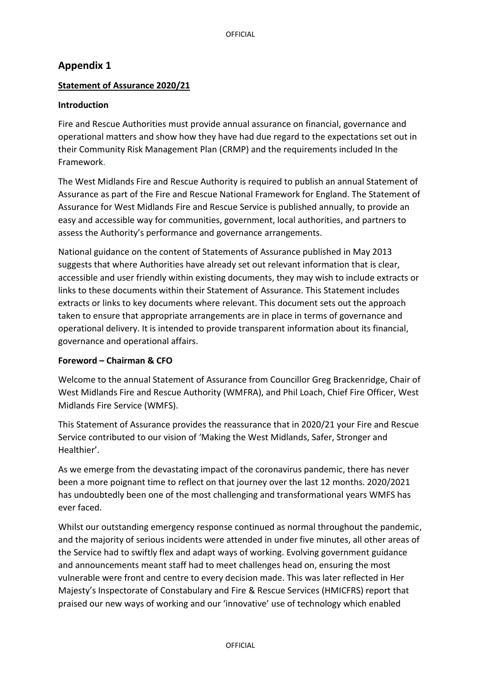# **Appendix 1**

### **Statement of Assurance 2020/21**

### **Introduction**

Fire and Rescue Authorities must provide annual assurance on financial, governance and operational matters and show how they have had due regard to the expectations set out in their Community Risk Management Plan (CRMP) and the requirements included In the Framework.

The West Midlands Fire and Rescue Authority is required to publish an annual Statement of Assurance as part of the Fire and Rescue National Framework for England. The Statement of Assurance for West Midlands Fire and Rescue Service is published annually, to provide an easy and accessible way for communities, government, local authorities, and partners to assess the Authority's performance and governance arrangements.

National guidance on the content of Statements of Assurance published in May 2013 suggests that where Authorities have already set out relevant information that is clear, accessible and user friendly within existing documents, they may wish to include extracts or links to these documents within their Statement of Assurance. This Statement includes extracts or links to key documents where relevant. This document sets out the approach taken to ensure that appropriate arrangements are in place in terms of governance and operational delivery. It is intended to provide transparent information about its financial, governance and operational affairs.

### **Foreword – Chairman & CFO**

Welcome to the annual Statement of Assurance from Councillor Greg Brackenridge, Chair of West Midlands Fire and Rescue Authority (WMFRA), and Phil Loach, Chief Fire Officer, West Midlands Fire Service (WMFS).

This Statement of Assurance provides the reassurance that in 2020/21 your Fire and Rescue Service contributed to our vision of 'Making the West Midlands, Safer, Stronger and Healthier'.

As we emerge from the devastating impact of the coronavirus pandemic, there has never been a more poignant time to reflect on that journey over the last 12 months. 2020/2021 has undoubtedly been one of the most challenging and transformational years WMFS has ever faced.

Whilst our outstanding emergency response continued as normal throughout the pandemic, and the majority of serious incidents were attended in under five minutes, all other areas of the Service had to swiftly flex and adapt ways of working. Evolving government guidance and announcements meant staff had to meet challenges head on, ensuring the most vulnerable were front and centre to every decision made. This was later reflected in Her Majesty's Inspectorate of Constabulary and Fire & Rescue Services (HMICFRS) report that praised our new ways of working and our 'innovative' use of technology which enabled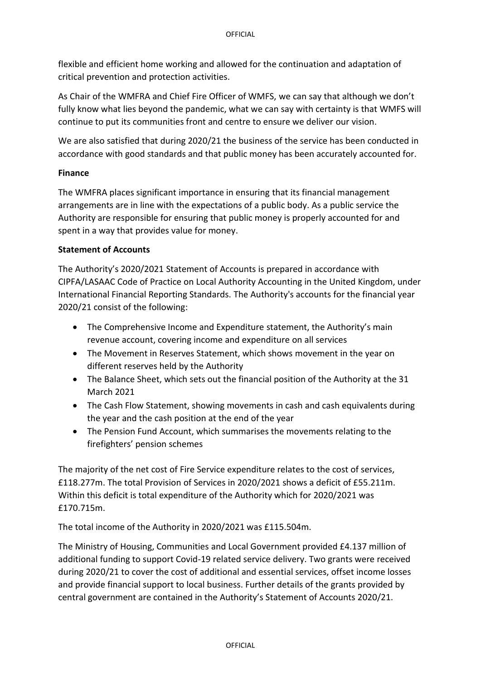flexible and efficient home working and allowed for the continuation and adaptation of critical prevention and protection activities.

As Chair of the WMFRA and Chief Fire Officer of WMFS, we can say that although we don't fully know what lies beyond the pandemic, what we can say with certainty is that WMFS will continue to put its communities front and centre to ensure we deliver our vision.

We are also satisfied that during 2020/21 the business of the service has been conducted in accordance with good standards and that public money has been accurately accounted for.

### **Finance**

The WMFRA places significant importance in ensuring that its financial management arrangements are in line with the expectations of a public body. As a public service the Authority are responsible for ensuring that public money is properly accounted for and spent in a way that provides value for money.

### **Statement of Accounts**

The Authority's 2020/2021 Statement of Accounts is prepared in accordance with CIPFA/LASAAC Code of Practice on Local Authority Accounting in the United Kingdom, under International Financial Reporting Standards. The Authority's accounts for the financial year 2020/21 consist of the following:

- The Comprehensive Income and Expenditure statement, the Authority's main revenue account, covering income and expenditure on all services
- The Movement in Reserves Statement, which shows movement in the year on different reserves held by the Authority
- The Balance Sheet, which sets out the financial position of the Authority at the 31 March 2021
- The Cash Flow Statement, showing movements in cash and cash equivalents during the year and the cash position at the end of the year
- The Pension Fund Account, which summarises the movements relating to the firefighters' pension schemes

The majority of the net cost of Fire Service expenditure relates to the cost of services, £118.277m. The total Provision of Services in 2020/2021 shows a deficit of £55.211m. Within this deficit is total expenditure of the Authority which for 2020/2021 was £170.715m.

The total income of the Authority in 2020/2021 was £115.504m.

The Ministry of Housing, Communities and Local Government provided £4.137 million of additional funding to support Covid-19 related service delivery. Two grants were received during 2020/21 to cover the cost of additional and essential services, offset income losses and provide financial support to local business. Further details of the grants provided by central government are contained in the Authority's Statement of Accounts 2020/21.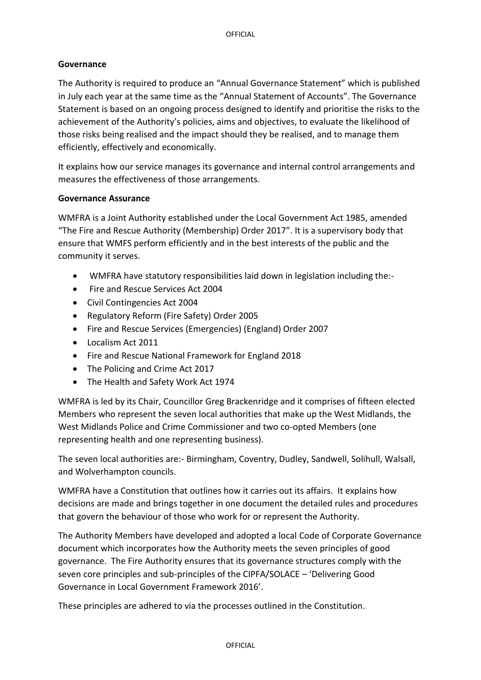### **Governance**

The Authority is required to produce an "Annual Governance Statement" which is published in July each year at the same time as the "Annual Statement of Accounts". The Governance Statement is based on an ongoing process designed to identify and prioritise the risks to the achievement of the Authority's policies, aims and objectives, to evaluate the likelihood of those risks being realised and the impact should they be realised, and to manage them efficiently, effectively and economically.

It explains how our service manages its governance and internal control arrangements and measures the effectiveness of those arrangements.

### **Governance Assurance**

WMFRA is a Joint Authority established under the Local Government Act 1985, amended "The Fire and Rescue Authority (Membership) Order 2017". It is a supervisory body that ensure that WMFS perform efficiently and in the best interests of the public and the community it serves.

- WMFRA have statutory responsibilities laid down in legislation including the:-
- Fire and Rescue Services Act 2004
- Civil Contingencies Act 2004
- Regulatory Reform (Fire Safety) Order 2005
- Fire and Rescue Services (Emergencies) (England) Order 2007
- Localism Act 2011
- Fire and Rescue National Framework for England 2018
- The Policing and Crime Act 2017
- The Health and Safety Work Act 1974

WMFRA is led by its Chair, Councillor Greg Brackenridge and it comprises of fifteen elected Members who represent the seven local authorities that make up the West Midlands, the West Midlands Police and Crime Commissioner and two co-opted Members (one representing health and one representing business).

The seven local authorities are:- Birmingham, Coventry, Dudley, Sandwell, Solihull, Walsall, and Wolverhampton councils.

WMFRA have a Constitution that outlines how it carries out its affairs. It explains how decisions are made and brings together in one document the detailed rules and procedures that govern the behaviour of those who work for or represent the Authority.

The Authority Members have developed and adopted a local Code of Corporate Governance document which incorporates how the Authority meets the seven principles of good governance. The Fire Authority ensures that its governance structures comply with the seven core principles and sub-principles of the CIPFA/SOLACE – 'Delivering Good Governance in Local Government Framework 2016'.

These principles are adhered to via the processes outlined in the Constitution.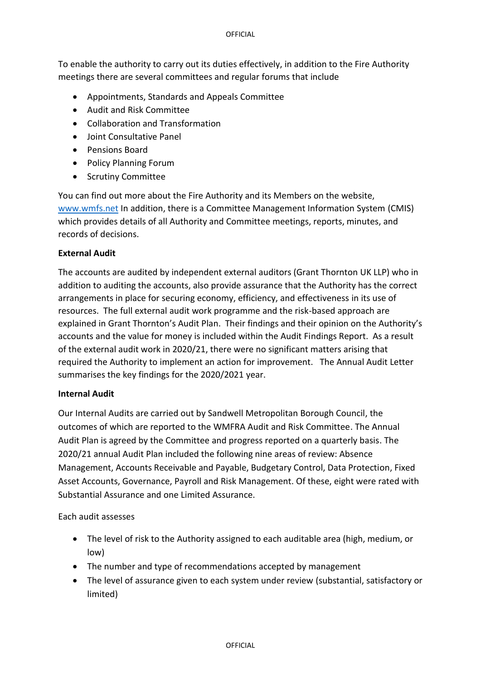#### OFFICIAL

To enable the authority to carry out its duties effectively, in addition to the Fire Authority meetings there are several committees and regular forums that include

- Appointments, Standards and Appeals Committee
- Audit and Risk Committee
- Collaboration and Transformation
- Joint Consultative Panel
- Pensions Board
- Policy Planning Forum
- Scrutiny Committee

You can find out more about the Fire Authority and its Members on the website, [www.wmfs.net](http://www.wmfs.net/) In addition, there is a Committee Management Information System (CMIS) which provides details of all Authority and Committee meetings, reports, minutes, and records of decisions.

### **External Audit**

The accounts are audited by independent external auditors (Grant Thornton UK LLP) who in addition to auditing the accounts, also provide assurance that the Authority has the correct arrangements in place for securing economy, efficiency, and effectiveness in its use of resources. The full external audit work programme and the risk-based approach are explained in Grant Thornton's Audit Plan. Their findings and their opinion on the Authority's accounts and the value for money is included within the Audit Findings Report. As a result of the external audit work in 2020/21, there were no significant matters arising that required the Authority to implement an action for improvement. The Annual Audit Letter summarises the key findings for the 2020/2021 year.

### **Internal Audit**

Our Internal Audits are carried out by Sandwell Metropolitan Borough Council, the outcomes of which are reported to the WMFRA Audit and Risk Committee. The Annual Audit Plan is agreed by the Committee and progress reported on a quarterly basis. The 2020/21 annual Audit Plan included the following nine areas of review: Absence Management, Accounts Receivable and Payable, Budgetary Control, Data Protection, Fixed Asset Accounts, Governance, Payroll and Risk Management. Of these, eight were rated with Substantial Assurance and one Limited Assurance.

Each audit assesses

- The level of risk to the Authority assigned to each auditable area (high, medium, or low)
- The number and type of recommendations accepted by management
- The level of assurance given to each system under review (substantial, satisfactory or limited)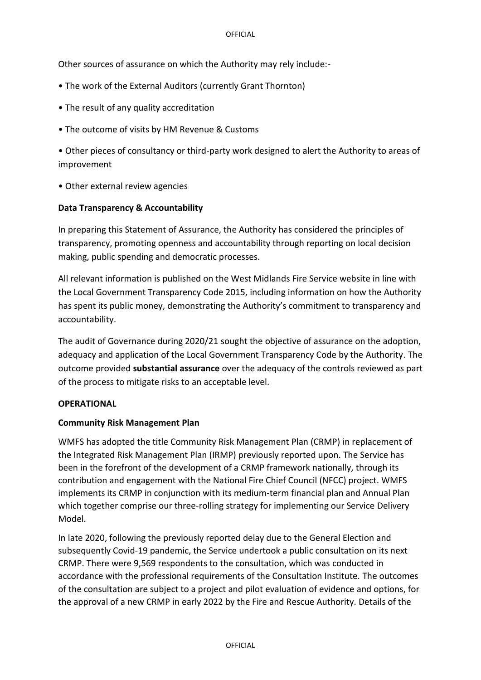Other sources of assurance on which the Authority may rely include:-

- The work of the External Auditors (currently Grant Thornton)
- The result of any quality accreditation
- The outcome of visits by HM Revenue & Customs

• Other pieces of consultancy or third-party work designed to alert the Authority to areas of improvement

• Other external review agencies

### **Data Transparency & Accountability**

In preparing this Statement of Assurance, the Authority has considered the principles of transparency, promoting openness and accountability through reporting on local decision making, public spending and democratic processes.

All relevant information is published on the West Midlands Fire Service website in line with the Local Government Transparency Code 2015, including information on how the Authority has spent its public money, demonstrating the Authority's commitment to transparency and accountability.

The audit of Governance during 2020/21 sought the objective of assurance on the adoption, adequacy and application of the Local Government Transparency Code by the Authority. The outcome provided **substantial assurance** over the adequacy of the controls reviewed as part of the process to mitigate risks to an acceptable level.

### **OPERATIONAL**

### **Community Risk Management Plan**

WMFS has adopted the title Community Risk Management Plan (CRMP) in replacement of the Integrated Risk Management Plan (IRMP) previously reported upon. The Service has been in the forefront of the development of a CRMP framework nationally, through its contribution and engagement with the National Fire Chief Council (NFCC) project. WMFS implements its CRMP in conjunction with its medium-term financial plan and Annual Plan which together comprise our three-rolling strategy for implementing our Service Delivery Model.

In late 2020, following the previously reported delay due to the General Election and subsequently Covid-19 pandemic, the Service undertook a public consultation on its next CRMP. There were 9,569 respondents to the consultation, which was conducted in accordance with the professional requirements of the Consultation Institute. The outcomes of the consultation are subject to a project and pilot evaluation of evidence and options, for the approval of a new CRMP in early 2022 by the Fire and Rescue Authority. Details of the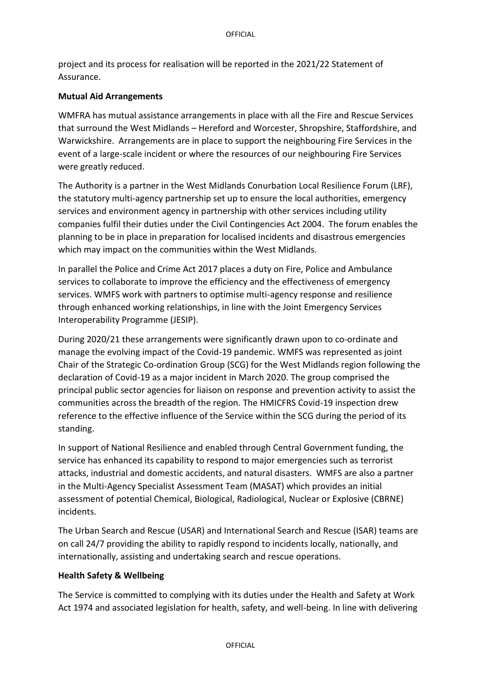project and its process for realisation will be reported in the 2021/22 Statement of Assurance.

### **Mutual Aid Arrangements**

WMFRA has mutual assistance arrangements in place with all the Fire and Rescue Services that surround the West Midlands – Hereford and Worcester, Shropshire, Staffordshire, and Warwickshire. Arrangements are in place to support the neighbouring Fire Services in the event of a large-scale incident or where the resources of our neighbouring Fire Services were greatly reduced.

The Authority is a partner in the West Midlands Conurbation Local Resilience Forum (LRF), the statutory multi-agency partnership set up to ensure the local authorities, emergency services and environment agency in partnership with other services including utility companies fulfil their duties under the Civil Contingencies Act 2004. The forum enables the planning to be in place in preparation for localised incidents and disastrous emergencies which may impact on the communities within the West Midlands.

In parallel the Police and Crime Act 2017 places a duty on Fire, Police and Ambulance services to collaborate to improve the efficiency and the effectiveness of emergency services. WMFS work with partners to optimise multi-agency response and resilience through enhanced working relationships, in line with the Joint Emergency Services Interoperability Programme (JESIP).

During 2020/21 these arrangements were significantly drawn upon to co-ordinate and manage the evolving impact of the Covid-19 pandemic. WMFS was represented as joint Chair of the Strategic Co-ordination Group (SCG) for the West Midlands region following the declaration of Covid-19 as a major incident in March 2020. The group comprised the principal public sector agencies for liaison on response and prevention activity to assist the communities across the breadth of the region. The HMICFRS Covid-19 inspection drew reference to the effective influence of the Service within the SCG during the period of its standing.

In support of National Resilience and enabled through Central Government funding, the service has enhanced its capability to respond to major emergencies such as terrorist attacks, industrial and domestic accidents, and natural disasters. WMFS are also a partner in the Multi-Agency Specialist Assessment Team (MASAT) which provides an initial assessment of potential Chemical, Biological, Radiological, Nuclear or Explosive (CBRNE) incidents.

The Urban Search and Rescue (USAR) and International Search and Rescue (ISAR) teams are on call 24/7 providing the ability to rapidly respond to incidents locally, nationally, and internationally, assisting and undertaking search and rescue operations.

### **Health Safety & Wellbeing**

The Service is committed to complying with its duties under the Health and Safety at Work Act 1974 and associated legislation for health, safety, and well-being. In line with delivering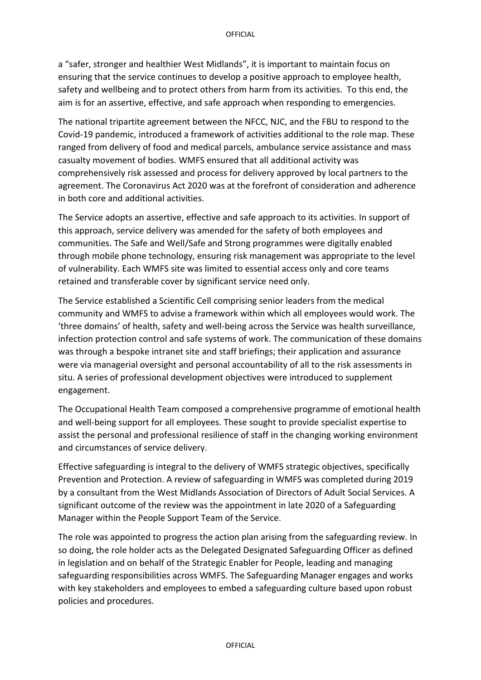a "safer, stronger and healthier West Midlands", it is important to maintain focus on ensuring that the service continues to develop a positive approach to employee health, safety and wellbeing and to protect others from harm from its activities. To this end, the aim is for an assertive, effective, and safe approach when responding to emergencies.

The national tripartite agreement between the NFCC, NJC, and the FBU to respond to the Covid-19 pandemic, introduced a framework of activities additional to the role map. These ranged from delivery of food and medical parcels, ambulance service assistance and mass casualty movement of bodies. WMFS ensured that all additional activity was comprehensively risk assessed and process for delivery approved by local partners to the agreement. The Coronavirus Act 2020 was at the forefront of consideration and adherence in both core and additional activities.

The Service adopts an assertive, effective and safe approach to its activities. In support of this approach, service delivery was amended for the safety of both employees and communities. The Safe and Well/Safe and Strong programmes were digitally enabled through mobile phone technology, ensuring risk management was appropriate to the level of vulnerability. Each WMFS site was limited to essential access only and core teams retained and transferable cover by significant service need only.

The Service established a Scientific Cell comprising senior leaders from the medical community and WMFS to advise a framework within which all employees would work. The 'three domains' of health, safety and well-being across the Service was health surveillance, infection protection control and safe systems of work. The communication of these domains was through a bespoke intranet site and staff briefings; their application and assurance were via managerial oversight and personal accountability of all to the risk assessments in situ. A series of professional development objectives were introduced to supplement engagement.

The Occupational Health Team composed a comprehensive programme of emotional health and well-being support for all employees. These sought to provide specialist expertise to assist the personal and professional resilience of staff in the changing working environment and circumstances of service delivery.

Effective safeguarding is integral to the delivery of WMFS strategic objectives, specifically Prevention and Protection. A review of safeguarding in WMFS was completed during 2019 by a consultant from the West Midlands Association of Directors of Adult Social Services. A significant outcome of the review was the appointment in late 2020 of a Safeguarding Manager within the People Support Team of the Service.

The role was appointed to progress the action plan arising from the safeguarding review. In so doing, the role holder acts as the Delegated Designated Safeguarding Officer as defined in legislation and on behalf of the Strategic Enabler for People, leading and managing safeguarding responsibilities across WMFS. The Safeguarding Manager engages and works with key stakeholders and employees to embed a safeguarding culture based upon robust policies and procedures.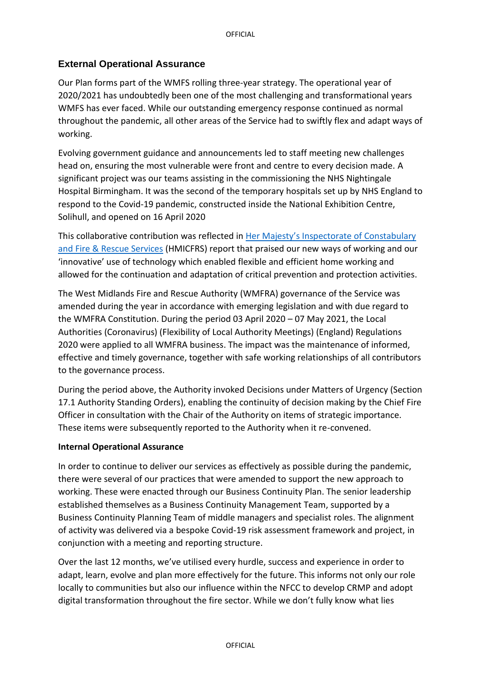## **External Operational Assurance**

Our Plan forms part of the WMFS rolling three-year strategy. The operational year of 2020/2021 has undoubtedly been one of the most challenging and transformational years WMFS has ever faced. While our outstanding emergency response continued as normal throughout the pandemic, all other areas of the Service had to swiftly flex and adapt ways of working.

Evolving government guidance and announcements led to staff meeting new challenges head on, ensuring the most vulnerable were front and centre to every decision made. A significant project was our teams assisting in the commissioning the NHS Nightingale Hospital Birmingham. It was the second of the temporary [hospitals](https://en.wikipedia.org/wiki/NHS_Nightingale_Hospitals) set up b[y NHS England](https://en.wikipedia.org/wiki/National_Health_Service_(England)) to respond to the [Covid-19 pandemic, constructed inside the](https://en.wikipedia.org/wiki/COVID-19_pandemic_in_the_United_Kingdom) [National Exhibition Centre,](https://en.wikipedia.org/wiki/National_Exhibition_Centre) [Solihull,](https://en.wikipedia.org/wiki/Solihull) and opened on 16 April 2020

This collaborative contribution was reflected in [Her Majesty's Inspectorate of Constabulary](https://www.justiceinspectorates.gov.uk/hmicfrs/fire-and-rescue-services/fire-rescue-services-fire/)  [and Fire & Rescue Services](https://www.justiceinspectorates.gov.uk/hmicfrs/fire-and-rescue-services/fire-rescue-services-fire/) (HMICFRS) report that praised our new ways of working and our 'innovative' use of technology which enabled flexible and efficient home working and allowed for the continuation and adaptation of critical prevention and protection activities.

The West Midlands Fire and Rescue Authority (WMFRA) governance of the Service was amended during the year in accordance with emerging legislation and with due regard to the WMFRA Constitution. During the period 03 April 2020 – 07 May 2021, the Local Authorities (Coronavirus) (Flexibility of Local Authority Meetings) (England) Regulations 2020 were applied to all WMFRA business. The impact was the maintenance of informed, effective and timely governance, together with safe working relationships of all contributors to the governance process.

During the period above, the Authority invoked Decisions under Matters of Urgency (Section 17.1 Authority Standing Orders), enabling the continuity of decision making by the Chief Fire Officer in consultation with the Chair of the Authority on items of strategic importance. These items were subsequently reported to the Authority when it re-convened.

### **Internal Operational Assurance**

In order to continue to deliver our services as effectively as possible during the pandemic, there were several of our practices that were amended to support the new approach to working. These were enacted through our Business Continuity Plan. The senior leadership established themselves as a Business Continuity Management Team, supported by a Business Continuity Planning Team of middle managers and specialist roles. The alignment of activity was delivered via a bespoke Covid-19 risk assessment framework and project, in conjunction with a meeting and reporting structure.

Over the last 12 months, we've utilised every hurdle, success and experience in order to adapt, learn, evolve and plan more effectively for the future. This informs not only our role locally to communities but also our influence within the NFCC to develop CRMP and adopt digital transformation throughout the fire sector. While we don't fully know what lies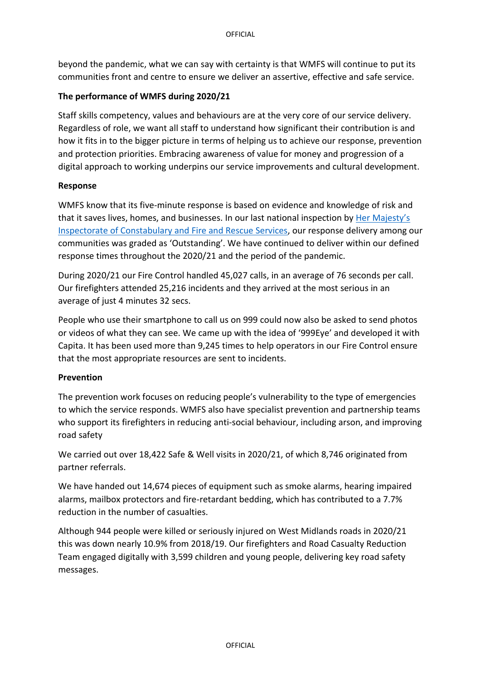beyond the pandemic, what we can say with certainty is that WMFS will continue to put its communities front and centre to ensure we deliver an assertive, effective and safe service.

### **The performance of WMFS during 2020/21**

Staff skills competency, values and behaviours are at the very core of our service delivery. Regardless of role, we want all staff to understand how significant their contribution is and how it fits in to the bigger picture in terms of helping us to achieve our response, prevention and protection priorities. Embracing awareness of value for money and progression of a digital approach to working underpins our service improvements and cultural development.

### **Response**

WMFS know that its five-minute response is based on evidence and knowledge of risk and that it saves lives, homes, and businesses. In our last national inspection by Her Majesty's [Inspectorate of Constabulary and Fire and Rescue Services,](https://www.justiceinspectorates.gov.uk/hmicfrs/fire-and-rescue-services/fire-rescue-services-fire/) our response delivery among our communities was graded as 'Outstanding'. We have continued to deliver within our defined response times throughout the 2020/21 and the period of the pandemic.

During 2020/21 our Fire Control handled 45,027 calls, in an average of 76 seconds per call. Our firefighters attended 25,216 incidents and they arrived at the most serious in an average of just 4 minutes 32 secs.

People who use their smartphone to call us on 999 could now also be asked to send photos or videos of what they can see. We came up with the idea of '999Eye' and developed it with Capita. It has been used more than 9,245 times to help operators in our Fire Control ensure that the most appropriate resources are sent to incidents.

### **Prevention**

The prevention work focuses on reducing people's vulnerability to the type of emergencies to which the service responds. WMFS also have specialist prevention and partnership teams who support its firefighters in reducing anti-social behaviour, including arson, and improving road safety

We carried out over 18,422 Safe & Well visits in 2020/21, of which 8,746 originated from partner referrals.

We have handed out 14,674 pieces of equipment such as smoke alarms, hearing impaired alarms, mailbox protectors and fire-retardant bedding, which has contributed to a 7.7% reduction in the number of casualties.

Although 944 people were killed or seriously injured on West Midlands roads in 2020/21 this was down nearly 10.9% from 2018/19. Our firefighters and Road Casualty Reduction Team engaged digitally with 3,599 children and young people, delivering key road safety messages.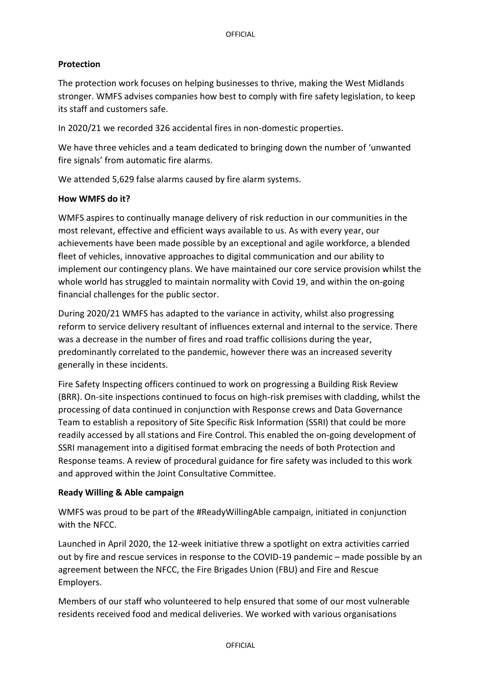## **Protection**

The protection work focuses on helping businesses to thrive, making the West Midlands stronger. WMFS advises companies how best to comply with fire safety legislation, to keep its staff and customers safe.

In 2020/21 we recorded 326 accidental fires in non-domestic properties.

We have three vehicles and a team dedicated to bringing down the number of 'unwanted fire signals' from automatic fire alarms.

We attended 5,629 false alarms caused by fire alarm systems.

### **How WMFS do it?**

WMFS aspires to continually manage delivery of risk reduction in our communities in the most relevant, effective and efficient ways available to us. As with every year, our achievements have been made possible by an exceptional and agile workforce, a blended fleet of vehicles, innovative approaches to digital communication and our ability to implement our contingency plans. We have maintained our core service provision whilst the whole world has struggled to maintain normality with Covid 19, and within the on-going financial challenges for the public sector.

During 2020/21 WMFS has adapted to the variance in activity, whilst also progressing reform to service delivery resultant of influences external and internal to the service. There was a decrease in the number of fires and road traffic collisions during the year, predominantly correlated to the pandemic, however there was an increased severity generally in these incidents.

Fire Safety Inspecting officers continued to work on progressing a Building Risk Review (BRR). On-site inspections continued to focus on high-risk premises with cladding, whilst the processing of data continued in conjunction with Response crews and Data Governance Team to establish a repository of Site Specific Risk Information (SSRI) that could be more readily accessed by all stations and Fire Control. This enabled the on-going development of SSRI management into a digitised format embracing the needs of both Protection and Response teams. A review of procedural guidance for fire safety was included to this work and approved within the Joint Consultative Committee.

### **Ready Willing & Able campaign**

WMFS was proud to be part of the #ReadyWillingAble campaign, initiated in conjunction with the NFCC.

Launched in April 2020, the 12-week initiative threw a spotlight on extra activities carried out by fire and rescue services in response to the COVID-19 pandemic – made possible by an agreement between the NFCC, the Fire Brigades Union (FBU) and Fire and Rescue Employers.

Members of our staff who volunteered to help ensured that some of our most vulnerable residents received food and medical deliveries. We worked with various organisations